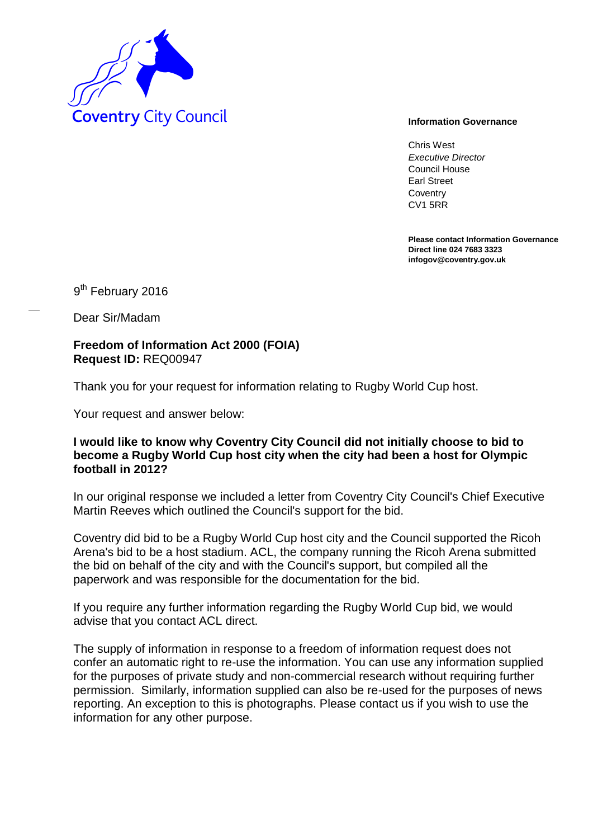

Chris West *Executive Director* Council House Earl Street **Coventry** CV1 5RR

**Please contact Information Governance Direct line 024 7683 3323 infogov@coventry.gov.uk** 

9<sup>th</sup> February 2016

Dear Sir/Madam

**Freedom of Information Act 2000 (FOIA) Request ID:** REQ00947

Thank you for your request for information relating to Rugby World Cup host.

Your request and answer below:

## **I would like to know why Coventry City Council did not initially choose to bid to become a Rugby World Cup host city when the city had been a host for Olympic football in 2012?**

In our original response we included a letter from Coventry City Council's Chief Executive Martin Reeves which outlined the Council's support for the bid.

Coventry did bid to be a Rugby World Cup host city and the Council supported the Ricoh Arena's bid to be a host stadium. ACL, the company running the Ricoh Arena submitted the bid on behalf of the city and with the Council's support, but compiled all the paperwork and was responsible for the documentation for the bid.

If you require any further information regarding the Rugby World Cup bid, we would advise that you contact ACL direct.

The supply of information in response to a freedom of information request does not confer an automatic right to re-use the information. You can use any information supplied for the purposes of private study and non-commercial research without requiring further permission. Similarly, information supplied can also be re-used for the purposes of news reporting. An exception to this is photographs. Please contact us if you wish to use the information for any other purpose.